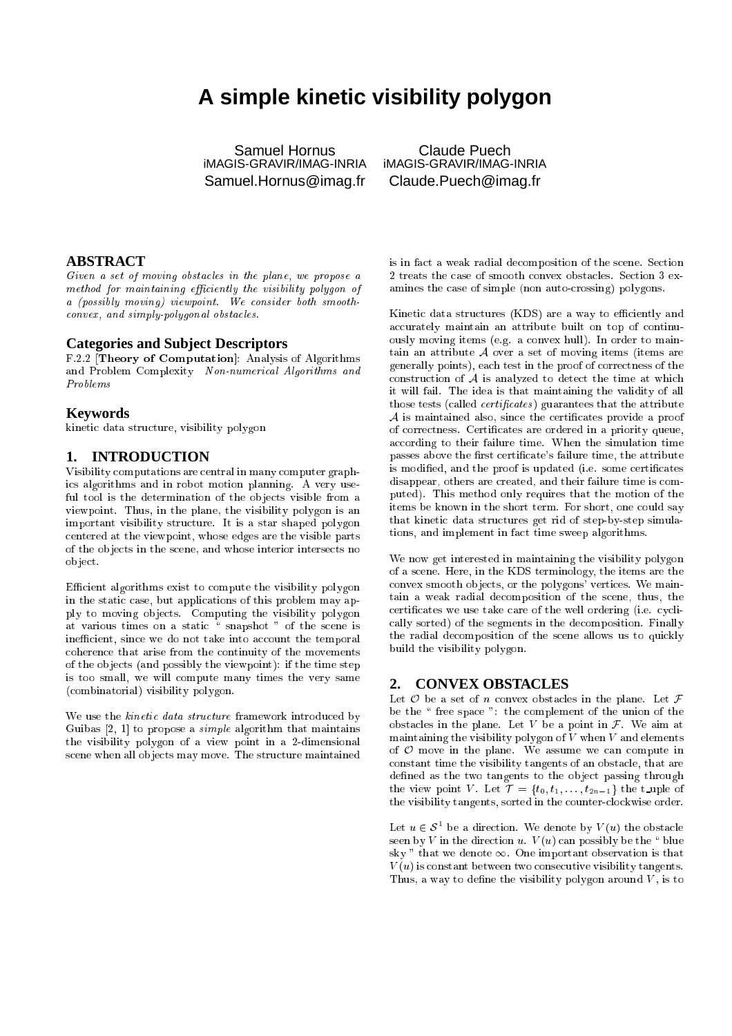# **A simple kinetic visibility polygon**

Samuel Hornus iMAGIS-GRAVIR/IMAG-INRIA Samuel.Hornus@imag.fr

Claude Puech iMAGIS-GRAVIR/IMAG-INRIA Claude.Puech@imag.fr

## **ABSTRACT**

Given a set of moving obstacles in the plane, we propose a method for maintaining efficiently the visibility polygon of a (possibly moving) viewpoint. We consider both smoothonvex, and simply-polygonal obsta
les.

#### **Categories and Subject Descriptors**

F.2.2 [Theory of Computation]: Analysis of Algorithms and Problem Complexity-Non-numerical Algorithms and Problems

#### **Keywords**

kineti data stru
ture, visibility polygon

### **1. INTRODUCTION**

Visibility omputations are entral in many 
omputer graphi
s algorithms and in robot motion planning. A very useful tool is the determination of the objects visible from a viewpoint. Thus, in the plane, the visibility polygon is an important visibility structure. It is a star shaped polygon entered at the viewpoint, whose edges are the visible parts of the ob je
ts in the s
ene, and whose interior interse
ts no ob je
t.

Efficient algorithms exist to compute the visibility polygon in the static case, but applications of this problem may apply to moving ob je
ts. Computing the visibility polygon at various times on a static  $\frac{a}{x}$  snapshot " of the scene is inefficient, since we do not take into account the temporal oheren
e that arise from the ontinuity of the movements of the objects (and possibly the viewpoint): if the time step is too small, we will ompute many times the very same (
ombinatorial) visibility polygon.

We use the *kinetic data structure* framework introduced by Guibas  $[2, 1]$  to propose a *simple* algorithm that maintains the visibility polygon of a view point in a 2-dimensional scene when all objects may move. The structure maintained is in fact a weak radial decomposition of the scene. Section 2 treats the case of smooth convex obstacles. Section 3 examines the case of simple (non auto-crossing) polygons.

Kinetic data structures (KDS) are a way to efficiently and accurately maintain an attribute built on top of continuously moving items (e.g. a convex hull). In order to maintain an attribute  $A$  over a set of moving items (items are generally points), ea
h test in the proof of orre
tness of the construction of  $A$  is analyzed to detect the time at which it will fail. The idea is that maintaining the validity of all those tests (called *certificates*) guarantees that the attribute  $A$  is maintained also, since the certificates provide a proof of correctness. Certificates are ordered in a priority queue, according to their failure time. When the simulation time passes above the first certificate's failure time, the attribute is modified, and the proof is updated (i.e. some certificates disappear, others are created, and their failure time is computed). This method only requires that the motion of the items be known in the short term. For short, one could say that kinetic data structures get rid of step-by-step simulations, and implement in fa
t time sweep algorithms.

We now get interested in maintaining the visibility polygon of a s
ene. Here, in the KDS terminology, the items are the convex smooth objects, or the polygons' vertices. We maintain a weak radial de
omposition of the s
ene, thus, the certificates we use take care of the well ordering (i.e. cyclially sorted) of the segments in the de
omposition. Finally the radial decomposition of the scene allows us to quickly build the visibility polygon.

# **2. CONVEX OBSTACLES**

Let  $\mathcal O$  be a set of n convex obstacles in the plane. Let  $\mathcal F$ be the "free space": the complement of the union of the obstacles in the plane. Let V be a point in  $\mathcal F$ . We aim at maintaining the visibility polygon of  $\overline{V}$  when  $V$  and elements of  $O$  move in the plane. We assume we can compute in onstant time the visibility tangents of an obsta
le, that are defined as the two tangents to the object passing through the view point V. Let  $\mathcal{T} = \{t_0, t_1, \ldots, t_{2n-1}\}\)$  the t\_uple of the visibility tangents, sorted in the counter-clockwise order.

Let  $u \in \mathcal{S}$  be a direction. We denote by  $V(u)$  the obstacle seen by V in the direction  $u$ .  $V(u)$  can possibly be the "blue sky " that we denote  $\infty$ . One important observation is that  $V(u)$  is constant between two consecutive visibility tangents. Thus, a way to define the visibility polygon around  $V$ , is to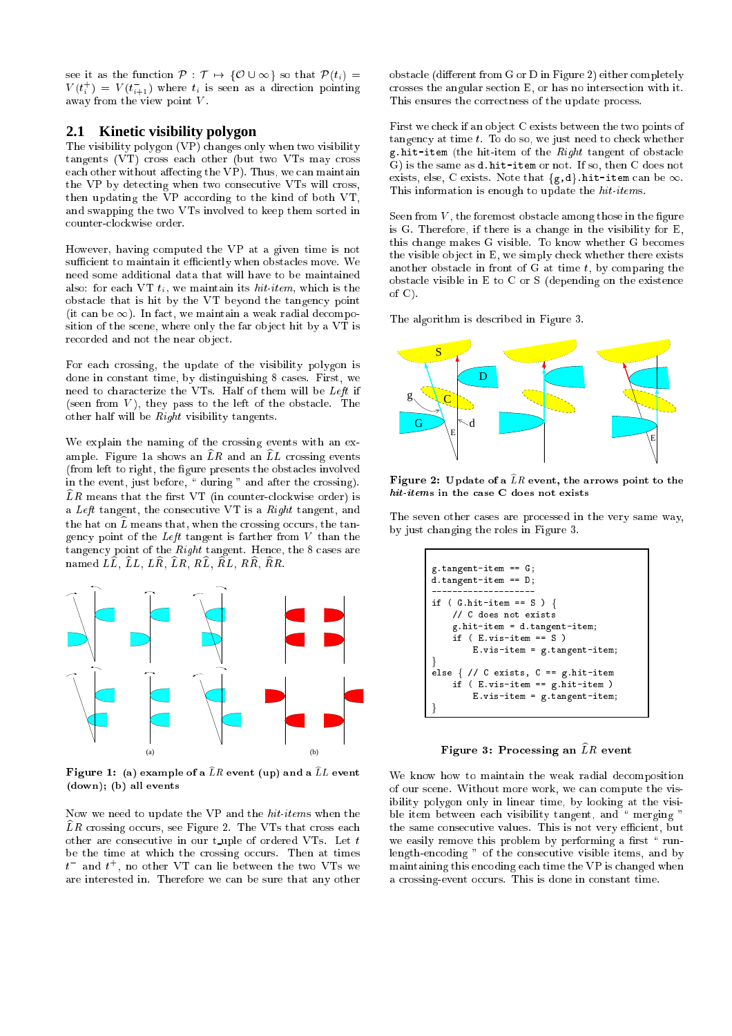see it as the function  $P : \mathcal{T} \mapsto \{O \cup \infty\}$  so that  $P(t_i) =$  $V(t_i) = V(t_{i+1})$  where  $t_i$  is seen as a direction pointing away from the view point V.

### **2.1 Kinetic visibility polygon**

The visibility polygon (VP) hanges only when two visibility tangents (VT) cross each other (but two VTs may cross each other without affecting the VP). Thus, we can maintain the VP by detecting when two consecutive VTs will cross, then updating the VP according to the kind of both VT, and swapping the two VTs involved to keep them sorted in ounterlo
kwise order.

However, having omputed the VP at a given time is not sufficient to maintain it efficiently when obstacles move. We need some additional data that will have to be maintained also: for each VT  $t_i$ , we maintain its hit-item, which is the obstacle that is hit by the VT beyond the tangency point (it can be  $\infty$ ). In fact, we maintain a weak radial decomposition of the scene, where only the far object hit by a VT is recorded and not the near object.

For each crossing, the update of the visibility polygon is done in constant time, by distinguishing 8 cases. First, we need to hara
terize the VTs. Half of them will be Left if (seen from  $V$ ), they pass to the left of the obstacle. The other half will be Right visibility tangents.

We explain the naming of the crossing events with an example. Figure 1a shows an  $\widehat{L}R$  and an  $\widehat{L}L$  crossing events (from left to right, the figure presents the obstacles involved in the event, just before, " during " and after the crossing).  $\widehat{L}R$  means that the first VT (in counter-clockwise order) is a Left tangent, the onse
utive VT is a Right tangent, and the hat on  $\hat{L}$  means that, when the crossing occurs, the tangency point of the Left tangent is farther from  $V$  than the tangency point of the Right tangent. Hence, the 8 cases are named  $L\widehat{L}$ ,  $\widehat{L}L$ ,  $L\widehat{R}$ ,  $\widehat{L}R$ ,  $R\widehat{L}$ ,  $\widehat{R}L$ ,  $R\widehat{R}$ ,  $\widehat{R}R$ .



 ${\bf r}$  igure 1: (a) example of a  $L R$  event (up) and a  $L L$  event (down); (b) all events

Now we need to update the VP and the hit-items when the  $\widehat{L}R$  crossing occurs, see Figure 2. The VTs that cross each other are consecutive in our t\_uple of ordered VTs. Let  $t$ be the time at which the crossing occurs. Then at times  $t$  and  $t$  , no other VI can lie between the two VIs we are interested in. Therefore we an be sure that any other

obstacle (different from G or D in Figure 2) either completely rosses the angular se
tion E, or has no interse
tion with it. This ensures the correctness of the update process.

First we check if an object C exists between the two points of tangency at time  $t$ . To do so, we just need to check whether g.hit-item (the hit-item of the Right tangent of obsta
le G) is the same as d.hit-item or not. If so, then C does not exists, else, C exists. Note that  ${g,d}$ .hit-item can be  $\infty$ . This information is enough to update the hit-items.

Seen from  $V$ , the foremost obstacle among those in the figure is G. Therefore, if there is a hange in the visibility for E, this change makes G visible. To know whether G becomes the visible object in E, we simply check whether there exists another obstacle in front of  $G$  at time  $t$ , by comparing the obsta
le visible in E to C or S (depending on the existen
e of C).

The algorithm is described in Figure 3.



 $\bf r$  igure 2: Update of a  $\bf\mu\bar{\bf n}$  event, the arrows point to the hit-items in the ase <sup>C</sup> does not exists

The seven other cases are processed in the very same way, by just hanging the roles in Figure 3.



 $\bf r$  igure 3: Trocessing an  $\it \it \Xi \it \Pi$  event

We know how to maintain the weak radial decomposition of our s
ene. Without more work, we an ompute the visibility polygon only in linear time, by looking at the visible item between each visibility tangent, and "merging" the same consecutive values. This is not very efficient, but we easily remove this problem by performing a first "runlength-encoding" of the consecutive visible items, and by maintaining this encoding each time the VP is changed when a crossing-event occurs. This is done in constant time.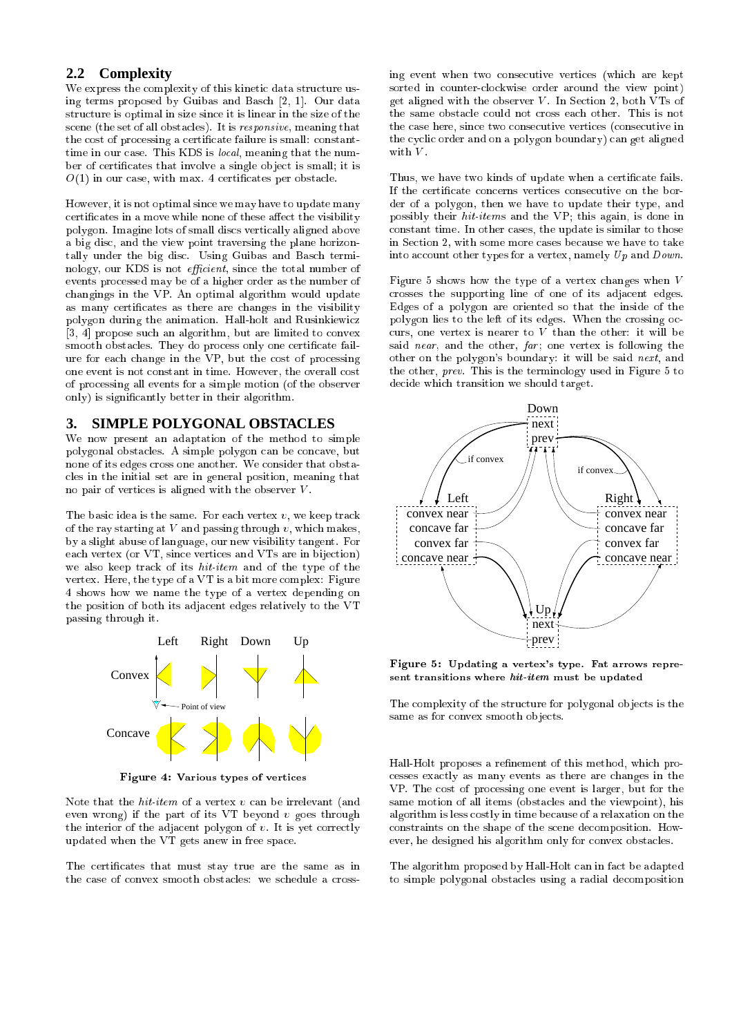## **2.2 Complexity**

We express the complexity of this kinetic data structure using terms proposed by Guibas and Basch  $[2, 1]$ . Our data structure is optimal in size since it is linear in the size of the s
ene (the set of all obsta
les). It is responsive, meaning that the cost of processing a certificate failure is small: constanttime in our case. This KDS is local, meaning that the number of certificates that involve a single object is small; it is  $O(1)$  in our case, with max. 4 certificates per obstacle.

However, it is not optimal sin
e we may have to update many certificates in a move while none of these affect the visibility polygon. Imagine lots of small dis
s verti
ally aligned above a big dis
, and the view point traversing the plane horizontally under the big disc. Using Guibas and Basch terminology, our KDS is not *efficient*, since the total number of events pro
essed may be of a higher order as the number of hangings in the VP. An optimal algorithm would update as many certificates as there are changes in the visibility polygon during the animation. Hall-holt and Rusinkiewi
z [3, 4] propose such an algorithm, but are limited to convex smooth obstacles. They do process only one certificate failure for ea
h hange in the VP, but the ost of pro
essing one event is not onstant in time. However, the overall ost of pro
essing all events for a simple motion (of the observer only) is significantly better in their algorithm.

## **3. SIMPLE POLYGONAL OBSTACLES**

We now present an adaptation of the method to simple polygonal obsta
les. A simple polygon an be on
ave, but none of its edges cross one another. We consider that obstacles in the initial set are in general position, meaning that no pair of vertices is aligned with the observer  $V$ .

The basic idea is the same. For each vertex  $v$ , we keep track of the ray starting at  $V$  and passing through  $v$ , which makes, by a slight abuse of language, our new visibility tangent. For each vertex (or VT, since vertices and VTs are in bijection) we also keep track of its *hit-item* and of the type of the vertex. Here, the type of a VT is a bit more omplex: Figure 4 shows how we name the type of a vertex depending on the position of both its adja
ent edges relatively to the VT passing through it.



Figure 4: Various types of verti
es

Note that the  $hit\text{-}item$  of a vertex  $v$  can be irrelevant (and even wrong) if the part of its  $VT$  beyond  $v$  goes through the interior of the adjacent polygon of  $v$ . It is yet correctly updated when the VT gets anew in free spa
e.

The certificates that must stay true are the same as in the case of convex smooth obstacles: we schedule a cross-

ing event when two consecutive vertices (which are kept sorted in ounterlo
kwise order around the view point) get aligned with the observer  $V$ . In Section 2, both VTs of the same obstacle could not cross each other. This is not the case here, since two consecutive vertices (consecutive in the cyclic order and on a polygon boundary) can get aligned with  $V$ .

Thus, we have two kinds of update when a certificate fails. If the certificate concerns vertices consecutive on the border of a polygon, then we have to update their type, and possibly their hit-items and the VP; this again, is done in onstant time. In other ases, the update is similar to those in Section 2, with some more cases because we have to take into account other types for a vertex, namely  $Up$  and  $Down$ .

Figure 5 shows how the type of a vertex hanges when <sup>V</sup> rosses the supporting line of one of its adja
ent edges. Edges of a polygon are oriented so that the inside of the polygon lies to the left of its edges. When the crossing occurs, one vertex is nearer to  $V$  than the other: it will be said near, and the other,  $far$ ; one vertex is following the other on the polygon's boundary: it will be said next, and the other, prev. This is the terminology used in Figure 5 to de
ide whi
h transition we should target.



Figure 5: Updating <sup>a</sup> vertex's type. Fat arrows represent transitions where hit-item must be updated

The complexity of the structure for polygonal objects is the same as for convex smooth objects.

Hall-Holt proposes a refinement of this method, which proesses exa
tly as many events as there are hanges in the VP. The ost of pro
essing one event is larger, but for the same motion of all items (obsta
les and the viewpoint), his algorithm is less ostly in time be
ause of a relaxation on the onstraints on the shape of the s
ene de
omposition. However, he designed his algorithm only for convex obstacles.

The algorithm proposed by Hall-Holt can in fact be adapted to simple polygonal obstacles using a radial decomposition